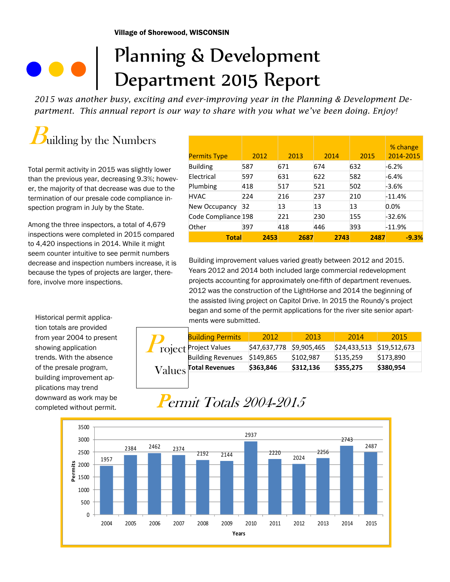## Planning & Development Department 2015 Report

*2015 was another busy, exciting and ever-improving year in the Planning & Development Department. This annual report is our way to share with you what we've been doing. Enjoy!* 

# uilding by the Numbers

Total permit activity in 2015 was slightly lower than the previous year, decreasing 9.3%; however, the majority of that decrease was due to the termination of our presale code compliance inspection program in July by the State.

Among the three inspectors, a total of 4,679 inspections were completed in 2015 compared to 4,420 inspections in 2014. While it might seem counter intuitive to see permit numbers decrease and inspection numbers increase, it is because the types of projects are larger, therefore, involve more inspections.

Historical permit application totals are provided from year 2004 to present showing application trends. With the absence of the presale program, building improvement applications may trend downward as work may be completed without permit.

| <b>Permits Type</b> | 2012 | 2013 | 2014 | 2015 | % change<br>2014-2015 |
|---------------------|------|------|------|------|-----------------------|
| <b>Building</b>     | 587  | 671  | 674  | 632  | $-6.2%$               |
| Electrical          | 597  | 631  | 622  | 582  | $-6.4%$               |
| Plumbing            | 418  | 517  | 521  | 502  | $-3.6%$               |
| <b>HVAC</b>         | 224  | 216  | 237  | 210  | $-11.4%$              |
| New Occupancy       | 32   | 13   | 13   | 13   | 0.0%                  |
| Code Compliance 198 |      | 221  | 230  | 155  | $-32.6%$              |
| Other               | 397  | 418  | 446  | 393  | $-11.9%$              |
| <b>Total</b>        | 2453 | 2687 | 2743 | 2487 | $-9.3%$               |

Building improvement values varied greatly between 2012 and 2015. Years 2012 and 2014 both included large commercial redevelopment projects accounting for approximately one-fifth of department revenues. 2012 was the construction of the LightHorse and 2014 the beginning of the assisted living project on Capitol Drive. In 2015 the Roundy's project began and some of the permit applications for the river site senior apartments were submitted.

|  |                       | <b>Building Permits</b>  | 2012                     | 2013      | 2014                      | 2015      |
|--|-----------------------|--------------------------|--------------------------|-----------|---------------------------|-----------|
|  |                       | roject Project Values    | \$47,637,778 \$9,905,465 |           | \$24,433,513 \$19,512,673 |           |
|  |                       | <b>Building Revenues</b> | \$149,865                | \$102,987 | \$135,259                 | \$173,890 |
|  | Values Total Revenues | \$363,846                | \$312,136                | \$355,275 | \$380,954                 |           |
|  |                       |                          |                          |           |                           |           |

## Permit Totals 2004-2015

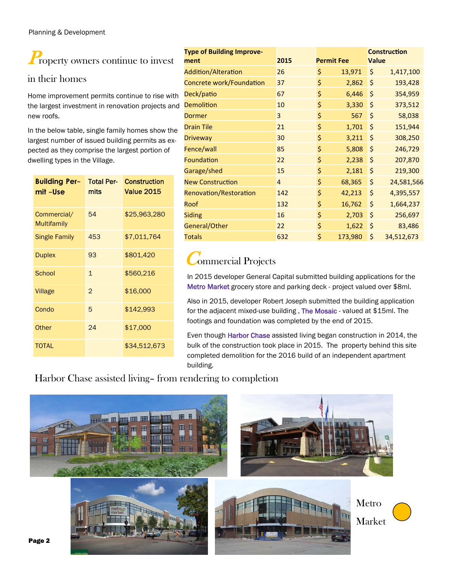## **Property owners continue to invest**

### in their homes

Home improvement permits continue to rise with the largest investment in renovation projects and new roofs.

In the below table, single family homes show the largest number of issued building permits as expected as they comprise the largest portion of dwelling types in the Village.

| <b>Building Per-</b><br>mit-Use   | <b>Total Per-</b><br>mits | <b>Construction</b><br><b>Value 2015</b> |
|-----------------------------------|---------------------------|------------------------------------------|
| Commercial/<br><b>Multifamily</b> | 54                        | \$25,963,280                             |
| <b>Single Family</b>              | 453                       | \$7,011,764                              |
| <b>Duplex</b>                     | 93                        | \$801,420                                |
| School                            | $\mathbf{1}$              | \$560,216                                |
| Village                           | $\overline{2}$            | \$16,000                                 |
| Condo                             | 5                         | \$142,993                                |
| Other                             | 24                        | \$17,000                                 |
| <b>TOTAL</b>                      |                           | \$34,512,673                             |

| <b>Type of Building Improve-</b><br>ment | 2015           | <b>Permit Fee</b> |         | <b>Value</b> | <b>Construction</b> |
|------------------------------------------|----------------|-------------------|---------|--------------|---------------------|
| <b>Addition/Alteration</b>               | 26             | \$                | 13,971  | \$           | 1,417,100           |
| Concrete work/Foundation                 | 37             | \$                | 2,862   | \$           | 193,428             |
| Deck/patio                               | 67             | \$                | 6,446   | \$           | 354,959             |
| <b>Demolition</b>                        | 10             | \$                | 3,330   | \$           | 373,512             |
| <b>Dormer</b>                            | 3              | \$                | 567     | \$           | 58,038              |
| <b>Drain Tile</b>                        | 21             | \$                | 1,701   | $\zeta$      | 151,944             |
| <b>Driveway</b>                          | 30             | \$                | 3,211   | \$           | 308,250             |
| Fence/wall                               | 85             | \$                | 5,808   | \$           | 246,729             |
| Foundation                               | 22             | \$                | 2,238   | \$           | 207,870             |
| Garage/shed                              | 15             | \$                | 2,181   | \$           | 219,300             |
| <b>New Construction</b>                  | $\overline{4}$ | \$                | 68,365  | \$           | 24,581,566          |
| Renovation/Restoration                   | 142            | \$                | 42,213  | \$           | 4,395,557           |
| Roof                                     | 132            | \$                | 16,762  | \$           | 1,664,237           |
| <b>Siding</b>                            | 16             | \$                | 2,703   | \$           | 256,697             |
| General/Other                            | 22             | \$                | 1,622   | \$           | 83,486              |
| <b>Totals</b>                            | 632            | \$                | 173,980 | \$           | 34,512,673          |

## Commercial Projects

In 2015 developer General Capital submitted building applications for the Metro Market grocery store and parking deck - project valued over \$8ml.

Also in 2015, developer Robert Joseph submitted the building application for the adjacent mixed-use building , The Mosaic - valued at \$15ml. The footings and foundation was completed by the end of 2015.

Even though Harbor Chase assisted living began construction in 2014, the bulk of the construction took place in 2015. The property behind this site completed demolition for the 2016 build of an independent apartment building.

### Harbor Chase assisted living– from rendering to completion

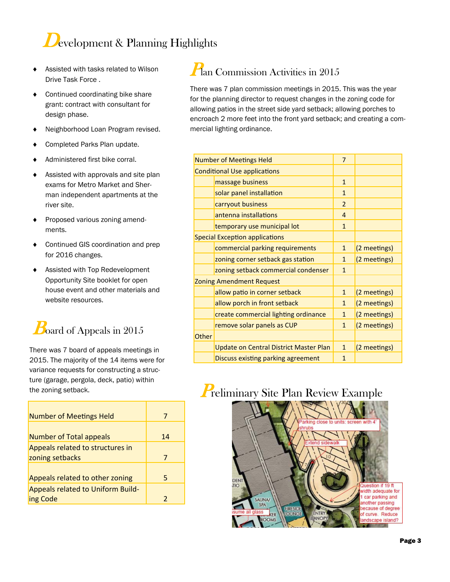## Development & Planning Highlights

- Assisted with tasks related to Wilson Drive Task Force .
- ◆ Continued coordinating bike share grant: contract with consultant for design phase.
- ◆ Neighborhood Loan Program revised.
- Completed Parks Plan update.
- ◆ Administered first bike corral.
- $\triangleleft$  Assisted with approvals and site plan exams for Metro Market and Sherman independent apartments at the river site.
- **+** Proposed various zoning amendments.
- ◆ Continued GIS coordination and prep for 2016 changes.
- Assisted with Top Redevelopment Opportunity Site booklet for open house event and other materials and website resources.

## $B$ oard of Appeals in 2015

There was 7 board of appeals meetings in 2015. The majority of the 14 items were for variance requests for constructing a structure (garage, pergola, deck, patio) within

| <b>Number of Meetings Held</b>                       | 7  |
|------------------------------------------------------|----|
| <b>Number of Total appeals</b>                       | 14 |
| Appeals related to structures in<br>zoning setbacks  | 7  |
| Appeals related to other zoning                      | 5  |
| <b>Appeals related to Uniform Build-</b><br>ing Code | 2  |

### Plan Commission Activities in 2015

There was 7 plan commission meetings in 2015. This was the year for the planning director to request changes in the zoning code for allowing patios in the street side yard setback; allowing porches to encroach 2 more feet into the front yard setback; and creating a commercial lighting ordinance.

|       | <b>Number of Meetings Held</b>                | $\overline{7}$ |              |
|-------|-----------------------------------------------|----------------|--------------|
|       | <b>Conditional Use applications</b>           |                |              |
|       | massage business                              | $\mathbf{1}$   |              |
|       | solar panel installation                      | $\mathbf{1}$   |              |
|       | carryout business                             | $\overline{2}$ |              |
|       | antenna installations                         | 4              |              |
|       | temporary use municipal lot                   | $\mathbf{1}$   |              |
|       | <b>Special Exception applications</b>         |                |              |
|       | commercial parking requirements               | $\mathbf{1}$   | (2 meetings) |
|       | zoning corner setback gas station             | $\mathbf{1}$   | (2 meetings) |
|       | zoning setback commercial condenser           | $\mathbf{1}$   |              |
|       | <b>Zoning Amendment Request</b>               |                |              |
|       | allow patio in corner setback                 | $\mathbf{1}$   | (2 meetings) |
|       | allow porch in front setback                  | $\mathbf{1}$   | (2 meetings) |
|       | create commercial lighting ordinance          | $\mathbf{1}$   | (2 meetings) |
|       | remove solar panels as CUP                    | $\mathbf{1}$   | (2 meetings) |
| Other |                                               |                |              |
|       | <b>Update on Central District Master Plan</b> | $\mathbf{1}$   | (2 meetings) |
|       | Discuss existing parking agreement            | 1              |              |

## the zoning setback. The zoning setback.

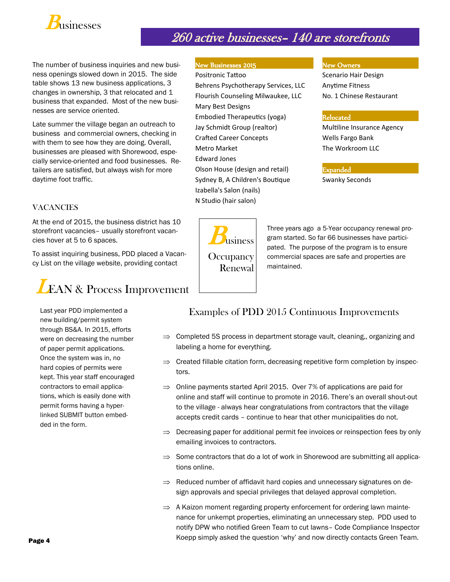

### 260 active businesses– 140 are storefronts

The number of business inquiries and new business openings slowed down in 2015. The side table shows 13 new business applications, 3 changes in ownership, 3 that relocated and 1 business that expanded. Most of the new businesses are service oriented.

Late summer the village began an outreach to business and commercial owners, checking in with them to see how they are doing. Overall, businesses are pleased with Shorewood, especially service-oriented and food businesses. Retailers are satisfied, but always wish for more daytime foot traffic.

#### **VACANCIES**

At the end of 2015, the business district has 10 storefront vacancies– usually storefront vacancies hover at 5 to 6 spaces.

To assist inquiring business, PDD placed a Vacancy List on the village website, providing contact



Last year PDD implemented a new building/permit system through BS&A. In 2015, efforts were on decreasing the number of paper permit applications. Once the system was in, no hard copies of permits were kept. This year staff encouraged contractors to email applications, which is easily done with permit forms having a hyperlinked SUBMIT button embedded in the form.

#### New Businesses 2015 New Owners

Positronic Tattoo Scenario Hair Design Behrens Psychotherapy Services, LLC Anytime Fitness Flourish Counseling Milwaukee, LLC No. 1 Chinese Restaurant Mary Best Designs Embodied Therapeutics (yoga) **Relocated** Jay Schmidt Group (realtor) Multiline Insurance Agency Crafted Career Concepts **Career Concepts Wells Fargo Bank** Metro Market **The Workroom LLC** Edward Jones Olson House (design and retail) **Expanded** Sydney B, A Children's Boutique Swanky Seconds Izabella's Salon (nails) N Studio (hair salon)



Three years ago a 5-Year occupancy renewal program started. So far 66 businesses have participated. The purpose of the program is to ensure commercial spaces are safe and properties are maintained.

#### Examples of PDD 2015 Continuous Improvements

- $\Rightarrow$  Completed 5S process in department storage vault, cleaning, organizing and labeling a home for everything.
- $\Rightarrow$  Created fillable citation form, decreasing repetitive form completion by inspectors.
- $\Rightarrow$  Online payments started April 2015. Over 7% of applications are paid for online and staff will continue to promote in 2016. There's an overall shout-out to the village - always hear congratulations from contractors that the village accepts credit cards – continue to hear that other municipalities do not.
- $\Rightarrow$  Decreasing paper for additional permit fee invoices or reinspection fees by only emailing invoices to contractors.
- $\Rightarrow$  Some contractors that do a lot of work in Shorewood are submitting all applications online.
- $\Rightarrow$  Reduced number of affidavit hard copies and unnecessary signatures on design approvals and special privileges that delayed approval completion.
- $\Rightarrow$  A Kaizon moment regarding property enforcement for ordering lawn maintenance for unkempt properties, eliminating an unnecessary step. PDD used to notify DPW who notified Green Team to cut lawns– Code Compliance Inspector Koepp simply asked the question 'why' and now directly contacts Green Team.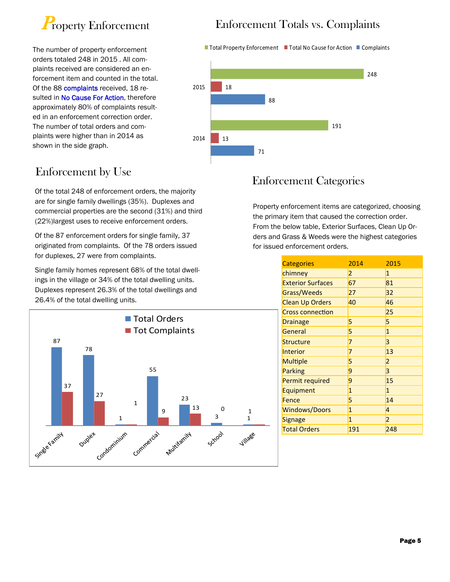

The number of property enforcement orders totaled 248 in 2015 . All complaints received are considered an enforcement item and counted in the total. Of the 88 complaints received, 18 resulted in No Cause For Action, therefore approximately 80% of complaints resulted in an enforcement correction order. The number of total orders and complaints were higher than in 2014 as shown in the side graph.

### Enforcement by Use

Of the total 248 of enforcement orders, the majority are for single family dwellings (35%). Duplexes and commercial properties are the second (31%) and third (22%)largest uses to receive enforcement orders.

Of the 87 enforcement orders for single family, 37 originated from complaints. Of the 78 orders issued for duplexes, 27 were from complaints.

Single family homes represent 68% of the total dwellings in the village or 34% of the total dwelling units. Duplexes represent 26.3% of the total dwellings and 26.4% of the total dwelling units.



### Enforcement Totals vs. Complaints

■ Total Property Enforcement ■ Total No Cause for Action ■ Complaints



### Enforcement Categories

Property enforcement items are categorized, choosing the primary item that caused the correction order. From the below table, Exterior Surfaces, Clean Up Orders and Grass & Weeds were the highest categories for issued enforcement orders.

| <b>Categories</b>        | 2014           | 2015           |
|--------------------------|----------------|----------------|
| chimney                  | $\overline{2}$ | $\mathbf{1}$   |
| <b>Exterior Surfaces</b> | 67             | 81             |
| Grass/Weeds              | 27             | 32             |
| <b>Clean Up Orders</b>   | 40             | 46             |
| <b>Cross connection</b>  |                | 25             |
| <b>Drainage</b>          | 5              | 5              |
| General                  | 5              | $\mathbf{1}$   |
| Structure                | 7              | 3              |
| Interior                 | 7              | 13             |
| <b>Multiple</b>          | 5              | 2              |
| <b>Parking</b>           | 9              | 3              |
| Permit required          | 9              | 15             |
| Equipment                | $\mathbf{1}$   | $\mathbf{1}$   |
| Fence                    | 5              | 14             |
| <b>Windows/Doors</b>     | $\mathbf{1}$   | 4              |
| Signage                  | $\mathbf{1}$   | $\overline{2}$ |
| <b>Total Orders</b>      | 191            | 248            |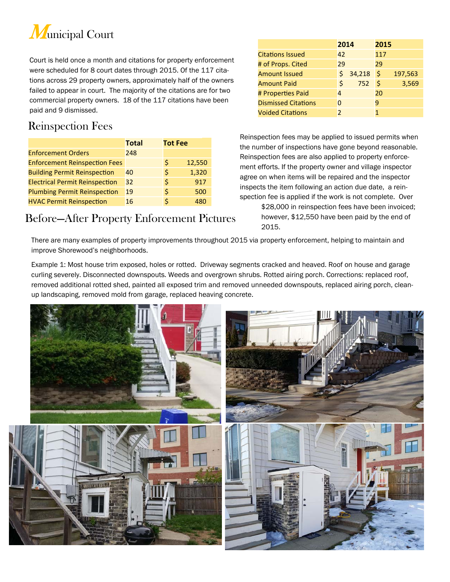

Court is held once a month and citations for property enforcement were scheduled for 8 court dates through 2015. Of the 117 citations across 29 property owners, approximately half of the owners failed to appear in court. The majority of the citations are for two commercial property owners. 18 of the 117 citations have been paid and 9 dismissed.

### Reinspection Fees

|                                       | <b>Total</b> | <b>Tot Fee</b> |        |
|---------------------------------------|--------------|----------------|--------|
| <b>Enforcement Orders</b>             | 248          |                |        |
| <b>Enforcement Reinspection Fees</b>  |              | Ś              | 12,550 |
| <b>Building Permit Reinspection</b>   | 40           | Ŝ              | 1,320  |
| <b>Electrical Permit Reinspection</b> | 32           | \$             | 917    |
| <b>Plumbing Permit Reinspection</b>   | 19           | S              | 500    |
| <b>HVAC Permit Reinspection</b>       | 16           | ς              | 480    |

### Before—After Property Enforcement Pictures

|                            | 2014 |        | 2015 |         |
|----------------------------|------|--------|------|---------|
| <b>Citations Issued</b>    | 42   |        | 117  |         |
| # of Props. Cited          | 29   |        | 29   |         |
| <b>Amount Issued</b>       |      | 34,218 | Ŝ    | 197,563 |
| <b>Amount Paid</b>         | Ś    | 752    | Ŝ    | 3,569   |
| # Properties Paid<br>4     |      |        | 20   |         |
| <b>Dismissed Citations</b> |      |        | 9    |         |
| <b>Voided Citations</b>    | 2    |        |      |         |

Reinspection fees may be applied to issued permits when the number of inspections have gone beyond reasonable. Reinspection fees are also applied to property enforcement efforts. If the property owner and village inspector agree on when items will be repaired and the inspector inspects the item following an action due date, a reinspection fee is applied if the work is not complete. Over

\$28,000 in reinspection fees have been invoiced; however, \$12,550 have been paid by the end of 2015.

There are many examples of property improvements throughout 2015 via property enforcement, helping to maintain and improve Shorewood's neighborhoods.

Example 1: Most house trim exposed, holes or rotted. Driveway segments cracked and heaved. Roof on house and garage curling severely. Disconnected downspouts. Weeds and overgrown shrubs. Rotted airing porch. Corrections: replaced roof, removed additional rotted shed, painted all exposed trim and removed unneeded downspouts, replaced airing porch, cleanup landscaping, removed mold from garage, replaced heaving concrete.

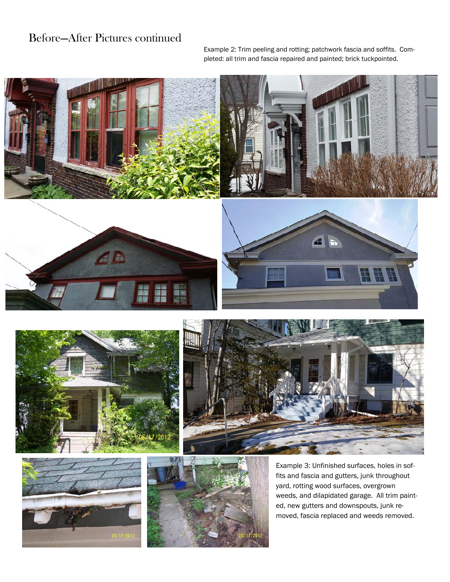### Before—After Pictures continued

Example 2: Trim peeling and rotting; patchwork fascia and soffits. Completed: all trim and fascia repaired and painted; brick tuckpointed.







fits and fascia and gutters, junk throughout yard, rotting wood surfaces, overgrown weeds, and dilapidated garage. All trim painted, new gutters and downspouts, junk removed, fascia replaced and weeds removed.